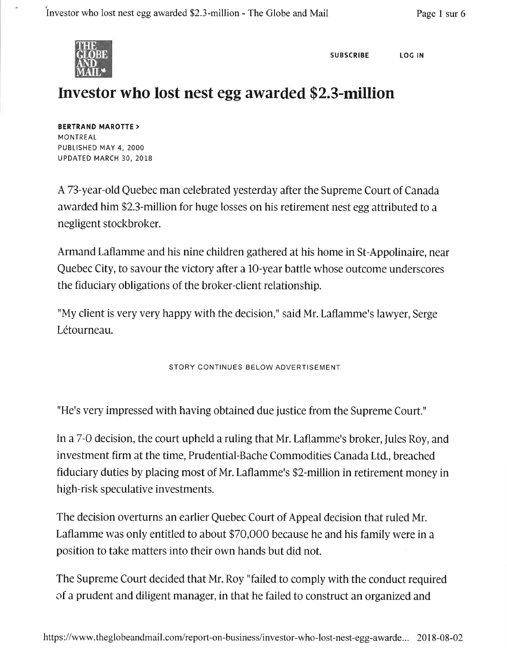

SUBSCRIBE LOG IN

## Investor who lost nest egg awarded \$2.3-million

BERTRAND MAROTTE > **MONTREAL** PUBLISHED MAY 4, 2OOO UPDATED MARCH 30, 2018

A73-year-old Quebec man celebrated yesterday after the Supreme Court of Canada awarded him \$2.3-million for huge losses on his retirement nest egg attributed to a negligent stockbroker.

Armand Laflamme and his nine children gathered at his home in St-Appolinaire, near Quebec City, to savour the victory after a lO-year battle whose outcome underscores the fiduciary obligations of the broker-client relationship.

"My client is very very happy with the decision," said Mr. Laflamme's lawyer, Serge Létourneau.

STORY CONTINUES BELOW ADVERTISEMENT

"He's very impressed with having obtained due justice from the Supreme Court."

In a7-O decision, the court upheld a ruling that Mr. Laflamme's broker, Iules Roy, and investment firm at the time, Prudential-Bache Commodities Canada Ltd., breached fiduciary duties by placing most of Mr. Laflamme's \$2-million in retirement money in high-risk speculative investments.

The decision overturns an earlier Quebec Court of Appeal decision that ruled Mr. Laflamme was only entitled to about \$70,000 because he and his family were in a position to take matters into their own hands but did not.

The Supreme Court decided that Mr. Roy "failed to comply with the conduct required of a prudent and diligent manager, in that he failed to construct an organized and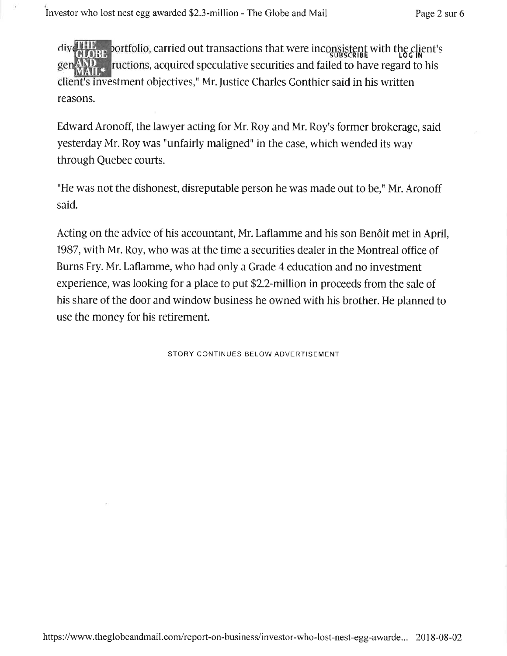portfolio, carried out transactions that were inconsistent with the client's  $r$ uctions, acquired speculative securities and failed to have regard to his client's investment objectives," Mr. Justice Charles Gonthier said in his written reasons.

Edward Aronoff, the lawyer acting for Mr. Roy and Mr. Roy's former brokerage, said yesterday Mr. Roy was "unfairly maligned" in the case, which wended its way through Quebec courts.

"He was not the dishonest, disreputable person he was made out to be," Mr. Aronoff said.

Acting on the advice of his accountant, Mr. Laflamme and his son Benôit met in April, 1987, with Mr. Roy, who was at the time a securities dealer in the Montreal office of Burns Fry. Mr. Laflamme, who had only a Grade 4 education and no investment experience, was looking for a place to put \$2.2-million in proceeds from the sale of his share of the door and window business he owned with his brother. He planned to use the money for his retirement.

STORY CONTINUES BELOW ADVERTISEMENT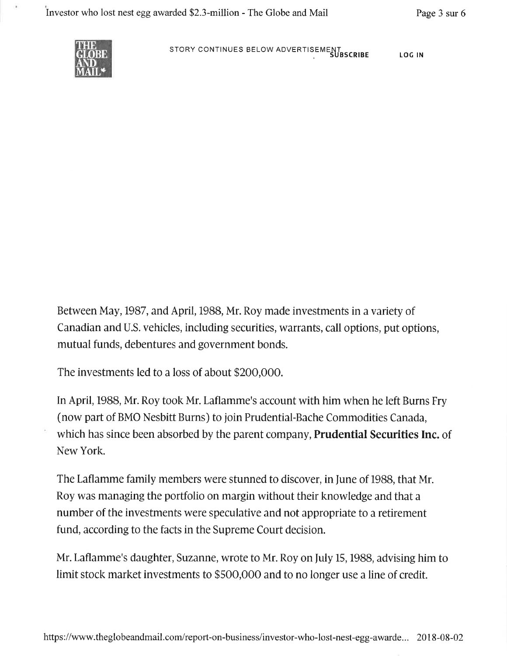

STORY CONTINUES BELOW ADVERTISEMENT<br>SUBSCRIBE LOG IN

Between May, 1987, and April, 1988, Mr. Roy made investments in a variety of Canadian and U.S. vehicles, including securities, warrants, call options, put options, mutual funds, debentures and government bonds.

The investments led to a loss of about \$200,000.

In April, 1988, Mr. Roy took Mr. Laflamme's account with him when he left Burns Fry (now part of BMO Nesbitt Burns) to join Prudential-Bache Commodities Canada, which has since been absorbed by the parent company, **Prudential Securities Inc.** of New York.

The Laflamme family members were stunned to discover, in June of 1988, that Mr. Roy was managing the portfolio on margin without their knowledge and that <sup>a</sup> number of the investments were speculative and not appropriate to a retirement fund, according to the facts in the Supreme Court decision.

Mr. Laflamme's daughter, Suzanne, wrote to Mr. Roy on fuly 15, 1988, advising him to limit stock market investments to \$500,000 and to no longer use a line of credit.